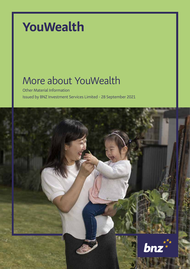# **YouWealth**

# More about YouWealth

Other Material Information Issued by BNZ Investment Services Limited - 28 September 2021

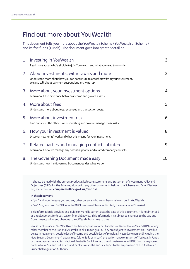### **Find out more about YouWealth**

This document tells you more about the YouWealth Scheme (YouWealth or Scheme) and its five funds (Funds). The document goes into greater detail on:

| 1. Investing in YouWealth<br>Read more about who's eligible to join YouWealth and what you need to consider.                                                                           | 3  |
|----------------------------------------------------------------------------------------------------------------------------------------------------------------------------------------|----|
| 2. About investments, withdrawals and more<br>Understand more about how you can contribute to or withdraw from your investment.<br>We also talk about payment suspensions and wind-up. | 3  |
| 3. More about your investment options<br>Learn about the difference between income and growth assets.                                                                                  | 4  |
| 4. More about fees<br>Understand more about fees, expenses and transaction costs.                                                                                                      | 5  |
| 5. More about investment risk<br>Find out about the other risks of investing and how we manage those risks.                                                                            | 6  |
| 6. How your investment is valued<br>Discover how 'units' work and what this means for your investment.                                                                                 | 8  |
| 7. Related parties and managing conflicts of interest<br>Learn about how we manage any potential people and related company conflicts.                                                 | 9  |
| 8. The Governing Document made easy<br>Understand how the Governing Document guides what we do.                                                                                        | 10 |

It should be read with the current Product Disclosure Statement and Statement of Investment Policyand Objectives (SIPO) for the Scheme, along with any other documents held on the Scheme and Offer Disclose Register entries at **companiesoffice.govt.nz/disclose**

#### **In this document:**

- 'you' and 'your' means you and any other persons who are or become investors in YouWealth
- 'we', 'us', 'our' and BNZISL refer to BNZ Investment Services Limited, the manager of YouWealth.

This information is provided as a guide only and is current as at the date of this document. It is not intended as a replacement for legal, tax or financial advice. This information is subject to changes to the law and Government policy, and changes to YouWealth, from time to time.

Investments made in YouWealth are not bank deposits or other liabilities of Bank of New Zealand (BNZ)or any other member of the National Australia Bank Limited group. They are subject to investment risk, possible delays in repayment, possible loss of income and possible loss of principal invested. No person (including the New Zealand Government) guarantees (either fully or in part) the performance or returns of YouWealth Funds or the repayment of capital. National Australia Bank Limited, the ultimate owner of BNZ, is not a registered bank in New Zealand but a licensed bank in Australia and is subject to the supervision of the Australian Prudential Regulation Authority.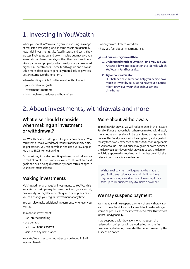## **1. Investing in YouWealth**

When you invest in YouWealth, you are investing in a range of markets across the globe. Income assets are generally lower risk investments, like fixed interest and cash. They are less likely to go up and down in value but may give you lower returns. Growth assets, on the other hand, are things like equities and property, which are typically considered higher risk investments. These tend to go up and down in value more often but are generally more likely to give you better returns over the long term.

When deciding which Fund to invest in, think about:

- your investment goals
- investment timeframe
- how much to contribute and how often
- when you are likely to withdraw
- how you feel about investment risk.
- **Visit bnz.co.nz/youwealth to:**
	- **1. Understand which YouWealth Fund may suit you Answer a few simple questions to identify which YouWealth Fund best suits.**
	- **2. Try out our calculator**

**Our balance calculator can help you decide how much to invest by calculating how your balance might grow over your chosen investment time frame.**

### **2. About investments, withdrawals and more**

### **What else should I consider when making an investment or withdrawal?**

YouWealth has been designed for your convenience. You can invest or make withdrawal requests online at any time. To get started, you can download and use our BNZ app or log on to BNZ Internet Banking.

On occasions, it may be tempting to invest or withdraw due to market events. Focus on your investment timeframe and goals and avoid being distracted by short-term changes in your investment balance.

### **Making investments**

Making additional or regular investments to YouWealth is easy. You can set up a regular investment into your account, on a weekly, fortnightly, monthly, quarterly, or yearly basis. You can change your regular investment at any time.

You can also make additional investments whenever you want to.

To make an investment:

- use Internet Banking
- use our app
- call us on **0800 275 269**
- visit us at any BNZ branch.

Your YouWealth account number can be found in BNZ Internet Banking.

#### **More about withdrawals**

To make a withdrawal, we will redeem units in the relevant Fund or Funds that you hold. When you make a withdrawal, the amount you receive will be calculated using the unit price of the Fund you are withdrawing from, and adjusted for any fees, taxes, expenses or other deductions applicable to your account. This unit price may go up or down between the date you submit your withdrawal request, the date on which it is approved or received, and the date on which the relevant units are actually redeemed.

Withdrawal payments will generally be made to your BNZ transaction account within 5 business days of receiving a valid request. However, it may take up to 10 business days to make a payment.

#### **We may suspend payment**

We may at any time suspend payment of any withdrawal or switch from a Fund if we think it would not be desirable, or would be prejudicial to the interests of YouWealth investors in that Fund generally.

If we suspend a withdrawal or switch request, the redemption unit price will be worked out on the first business day following the end of the period covered by the suspension notice.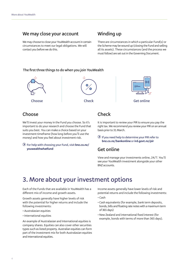### **We may close your account**

We may choose to close your YouWealth account in certain circumstances to meet our legal obligations. We will contact you before we do this.

### **Winding up**

There are circumstances in which a particular Fund(s) or the Scheme may be wound up (closing the Fund and selling all its assets). These circumstances (and the process we must follow) are set out in the Governing Document.

#### **The first three things to do when you join YouWealth**



#### **Choose**

We'll invest your money in the Fund you choose. So it's important to do your research and choose the Fund that suits you best. You can make a choice based on your investment timeframe (how long before you'll use the money) and how you feel about investment risk.

 **For help with choosing your Fund, visit bnz.co.nz/ youwealthwhatfund**

### **Check**

It is important to review your PIR to ensure you pay the right tax. We recommend you review your PIR on an annual basis prior to 31 March.

 **If you need help to determine your PIR refer to bnz.co.nz/bankonline or ird.govt.nz/pir** 

#### **Get online**

View and manage your investments online, 24/7. You'll see your YouWealth investment alongside your other BNZ accounts.

### **3. More about your investment options**

Each of the Funds that are available in YouWealth has a different mix of income and growth assets.

Growth assets generally have higher levels of risk with the potential for higher returns and include the following investments:

- Australasian equities
- International equities

An example of Australasian and International equities is company shares. Equities can also cover other securities types such as listed property. Australian equities can form part of the investment mix for both Australasian equities and International equities.

Income assets generally have lower levels of risk and potential returns and include the following investments:

- Cash
- Cash equivalents (for example, bank term deposits, bonds, bills and floating rate notes with a maximum term of 365 days)
- New Zealand and international fixed interest (for example, bonds with terms of more than 365 days).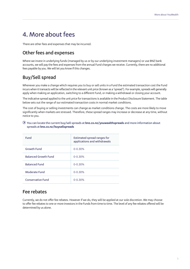### **4. More about fees**

There are other fees and expenses that may be incurred.

### **Other fees and expenses**

Where we invest in underlying funds (managed by us or by our underlying investment managers) or use BNZ bank accounts, we will pay the fees and expenses from the annual Fund charges we receive. Currently, there are no additional fees payable by you. We will let you know if this changes.

### **Buy/Sell spread**

Whenever you make a change which requires you to buy or sell units in a Fund the estimated transaction cost the Fund incurs when it transacts will be reflected in the relevant unit price (known as a 'spread'). For example, spreads will generally apply when making an application, switching to a different Fund, or making a withdrawal or closing your account.

The indicative spread applied to the unit price for transactions is available in the Product Disclosure Statement. The table below sets out the range of our estimated transaction costs in normal market conditions.

The cost of buying or selling investments can change as market conditions change. The costs are more likely to move significantly when markets are stressed. Therefore, these spread ranges may increase or decrease at any time, without notice to you.

| Fund                        | Estimated spread ranges for<br>applications and withdrawals |
|-----------------------------|-------------------------------------------------------------|
| Growth Fund                 | $0 - 0.30%$                                                 |
| <b>Balanced Growth Fund</b> | $0 - 0.30%$                                                 |
| <b>Balanced Fund</b>        | $0 - 0.30%$                                                 |
| Moderate Fund               | $0 - 0.30%$                                                 |
| <b>Conservative Fund</b>    | $0 - 0.30%$                                                 |

#### **You can locate the current buy/sell spreads at bnz.co.nz/youwealthspreads and more information about spreads at bnz.co.nz/buysellspreads**

### **Fee rebates**

Currently, we do not offer fee rebates. However if we do, they will be applied at our sole discretion. We may choose to offer fee rebates to one or more investors in the Funds from time to time. The level of any fee rebates offered will be determined by us alone.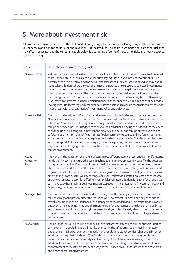# **5. More about investment risk**

All investments involve risk. Risk is the likelihood of not getting all your money back or getting a different return than you expect. In addition to the risks set out in Section 4 of the Product Disclosure Statement, there are other risks that may affect YouWealth and the Funds. The table below is a summary of some of these other risks and how we seek to reduce or manage them.

| <b>Risk</b>                        | Description and how we manage risk                                                                                                                                                                                                                                                                                                                                                                                                                                                                                                                                                                                                                                                                                                                                                                                                                                                                                                                                                                                 |  |  |  |
|------------------------------------|--------------------------------------------------------------------------------------------------------------------------------------------------------------------------------------------------------------------------------------------------------------------------------------------------------------------------------------------------------------------------------------------------------------------------------------------------------------------------------------------------------------------------------------------------------------------------------------------------------------------------------------------------------------------------------------------------------------------------------------------------------------------------------------------------------------------------------------------------------------------------------------------------------------------------------------------------------------------------------------------------------------------|--|--|--|
| <b>Derivative Risk</b>             | A derivative is a financial instrument that has its value based on the value of an actual financial<br>asset, index or rate (such as a particular currency, equity, or fixed interest investment). The<br>performance of a derivative and the actual financial asset, index or rate it is based on may not be<br>identical. In addition, where derivatives are used to increase the exposure to selected investments,<br>gains or losses in the value of the derivative may be more than the gains or losses of the actual<br>financial asset, index or rate. The use of, and exposure to, derivatives in the Funds, and the<br>underlying investment funds in which they invest, is limited. Derivatives may be used to manage<br>risks, make investments in a more efficient manner and/or enhance returns, but cannot be used to<br>leverage the Funds. We regularly monitor derivatives positions to ensure that their implementation<br>is consistent with the Statement of Investment Policy and Objectives. |  |  |  |
| <b>Currency Risk</b>               | The risk that the value of a Fund changes due to ups and downs in the exchange rate between the<br>New Zealand dollar and other currencies. This risk arises when a Fund has investments in countries<br>other than New Zealand. The degree of currency risk within each Fund will depend on how much<br>foreign currency exposure is hedged to the New Zealand dollar. Hedging seeks to reduce the effect<br>of changes in the exchange rate between the New Zealand dollar and foreign currencies. We aim<br>to fully hedge the international fixed interest foreign currency exposure, and the foreign currency<br>exposure arising from the Australian equities held within the Australasian Equities asset class. We<br>aim to hedge 60% of the international equity currency exposure, but from time to time we may<br>target a different hedging position to this, based on our assessment of the economic and financial<br>market environment.                                                             |  |  |  |
| Asset<br>Allocation<br><b>Risk</b> | The risk that the allocation of a Fund's assets, across different asset classes, affect a Fund's returns.<br>Funds that invest more in growth assets (such as equities) carry greater risk but offer the potential<br>of higher returns than Funds that invest more in income assets (such as cash or fixed interest).<br>Short-term ups and downs in the value of a Fund are common, particularly for Funds invested<br>in growth assets. The value of income assets can go up and down as well but generally to a lesser<br>extent than growth assets. We offer a range of Funds, with varying strategic allocations to income<br>and growth assets, to cater for differing investor risk profiles. In addition, for each of the Funds, we<br>can move away from their target investment mix (set out in the Statement of Investment Policy and<br>Objectives), based on our assessment of the economic and financial market environment.                                                                        |  |  |  |
| <b>Manager Risk</b>                | The risk that decisions made by us, and the managers of the underlying investment funds we use,<br>may positively or negatively affect the return on your investment. In-depth due diligence on the<br>overall competence and experience of the managers of the underlying investment funds is carried<br>out prior to their appointment. Ongoing monitoring of the outcomes of the decisions made by us,<br>and the managers of the underlying investment funds, enables the early identification of potential<br>risks associated with these decisions and the swift implementation of actions to mitigate these<br>potential risks.                                                                                                                                                                                                                                                                                                                                                                             |  |  |  |
| <b>Market Risk</b>                 | The risk that the value of a Fund changes due to factors that affect a particular financial market<br>or markets. This could include things like changes in the inflation rate, changes in monetary<br>policy by central banks, changes in taxation and regulation, global politics, changes in investor<br>sentiment or a global pandemic. The Funds hold many investments across asset classes,<br>countries, sectors, securities and styles of investing, to seek to reduce or manage this risk. In<br>addition, for each of the Funds, we can move away from their target investment mix (set out in<br>the Statement of Investment Policy and Objectives), based on our assessment of the economic<br>and financial market environment.                                                                                                                                                                                                                                                                       |  |  |  |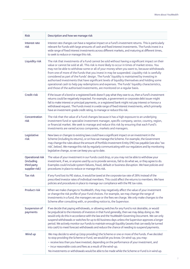| <b>Risk</b>                                                     | Description and how we manage risk                                                                                                                                                                                                                                                                                                                                                                                                                                                                                                                                                                                                                                                                                                                                                |  |  |  |
|-----------------------------------------------------------------|-----------------------------------------------------------------------------------------------------------------------------------------------------------------------------------------------------------------------------------------------------------------------------------------------------------------------------------------------------------------------------------------------------------------------------------------------------------------------------------------------------------------------------------------------------------------------------------------------------------------------------------------------------------------------------------------------------------------------------------------------------------------------------------|--|--|--|
| Interest rate<br>risk                                           | Interest rate changes can have a negative impact on a Fund's investment returns. This is particularly<br>relevant for Funds with large amounts of cash and fixed interest investments. The Funds invest in a<br>wide range of fixed interest investments across different markets, and maturing at different times,<br>to seek to reduce or manage this risk.                                                                                                                                                                                                                                                                                                                                                                                                                     |  |  |  |
| Liquidity risk                                                  | The risk that investments of a Fund cannot be sold without having a significant impact on their<br>value or cannot be sold at all. This risk is more likely to occur in times of market stress. You<br>may not be able to withdraw some or all of your money when you want to, because withdrawals<br>from one of more of the Funds that you invest in may be suspended. Liquidity risk is carefully<br>considered as part of the Funds' design. The Funds' liquidity is maintained by investing in<br>authorised investments that have significant levels of liquidity themselves and holding some<br>operational cash to help pay redemptions and expenses. The Funds' liquidity characteristics,<br>and those of the authorised investments, are monitored on a regular basis. |  |  |  |
| Credit risk                                                     | If the issuer of a bond or a registered bank doesn't pay what they owe to us, then a Fund's investment<br>returns could be negatively impacted. For example, a government or corporate debt issuer might<br>fail to make interest or principal payments, or a registered bank might not pay interest or honour a<br>withdrawal request. The Funds invest in a wide range of fixed interest investments, which primarily<br>have an investment-grade credit rating, to manage or reduce this risk.                                                                                                                                                                                                                                                                                 |  |  |  |
| Concentration<br>risk                                           | The risk that the value of a Fund changes because it has a high exposure to an underlying<br>investment fund or specialist investment manager, specific company, sector, country, region,<br>or financial market. We seek to manage and reduce this risk by ensuring that each Fund's<br>investments are varied across companies, markets and managers.                                                                                                                                                                                                                                                                                                                                                                                                                           |  |  |  |
| Legislative<br>risk                                             | New laws or changes to existing laws could have a significant impact on an investment in the<br>Scheme (including its returns), or on how we manage the Scheme. For example, the Government<br>may change the rules about the amount of Portfolio Investment Entity (PIE) tax payable (see also 'tax<br>risk', below). We manage this risk by regularly communicating with our regulators and by monitoring<br>legislative change, so we can keep you up to date.                                                                                                                                                                                                                                                                                                                 |  |  |  |
| Operational risk<br>(including<br>third party<br>supplier risk) | The value of your investment in our Funds could drop, or you may not be able to withdraw your<br>investment, if we, or anyone used by us to provide services, fail to do what we, or they agree to do.<br>Examples could include system failures, fraud, default or business disruption. We have policies and<br>procedures in place to reduce or manage this risk.                                                                                                                                                                                                                                                                                                                                                                                                               |  |  |  |
| Tax risk                                                        | If any Fund lost its PIE status, it would be taxed at the corporate tax rate of 28% instead of the<br>prescribed investor rates of individual members. This could affect the returns to members. We have<br>policies and procedures in place to manage our compliance with the PIE tax rules.                                                                                                                                                                                                                                                                                                                                                                                                                                                                                     |  |  |  |
| Product risk                                                    | When we make changes to YouWealth, they may negatively affect the value of your investment<br>or change the risk profile of your Fund choices. For example, we may change the range of<br>investments in a fund, the managers we use or the fees we charge. We only make changes to the<br>Scheme after consulting with, or providing notice to, the Supervisor.                                                                                                                                                                                                                                                                                                                                                                                                                  |  |  |  |
| Suspension of<br>payments                                       | If we decide that paying withdrawals, or allowing switches for any Fund is not desirable, or would<br>be prejudicial to the interests of investors in that Fund generally, then we may delay doing so. We<br>would only do this in accordance with the law and the YouWealth Governing Document. We can only<br>suspend withdrawals or switches for up to 60 business days unless the Supervisor approves a longer<br>period. We actively monitor our Funds to maintain enough liquidity (assets that can easily be turned<br>into cash) to meet forecast withdrawals and reduce the chance of needing to suspend payments.                                                                                                                                                       |  |  |  |
| Wind up                                                         | We may decide to wind up (stop providing) the Scheme or one or more of the Funds. If we decided<br>to stop providing the Scheme or Fund, we would let you know. On wind-up, you may:<br>· receive less than you have invested, depending on the performance of your investment, and<br>· incur reasonable costs and fees as a result of the wind-up.<br>No investments or withdrawals would be able to be made while the Scheme or Fund is in wind up.                                                                                                                                                                                                                                                                                                                            |  |  |  |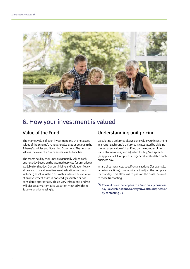

## **6. How your investment is valued**

### **Value of the Fund**

The market value of each investment and the net asset values of the Scheme's Funds are calculated as set out in the Scheme's policies and Governing Document. The net asset value is the value of a Fund's assets less its liabilities.

The assets held by the Funds are generally valued each business day based on the last market prices (or unit prices) available for that day. Our Unit Pricing and Valuation Policy allows us to use alternative asset valuation methods, including asset valuation estimates, where the valuation of an investment asset is not readily available or not considered appropriate. This is very infrequent, and we will discuss any alternative valuation method with the Supervisor prior to using it.

### **Understanding unit pricing**

Calculating a unit price allows us to value your investment in a Fund. Each Fund's unit price is calculated by dividing the net asset value of that Fund by the number of units issued to members, and adjusted for buy/sell spreads (as applicable). Unit prices are generally calculated each business day.

In rare circumstances, specific transactions (for example, large transactions) may require us to adjust the unit price for that day. This allows us to pass on the costs incurred to those transacting.

 **The unit price that applies to a Fund on any business day is available at bnz.co.nz/youwealthunitprices or by contacting us.**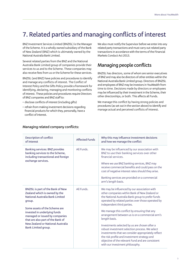# **7. Related parties and managing conflicts of interest**

BNZ Investment Services Limited (BNZISL) is the Manager of the Scheme. It is a wholly owned subsidiary of the Bank of New Zealand (BNZ) which is ultimately owned by the National Australia Bank Limited.

Several related parties from the BNZ and the National Australia Bank Limited group of companies provide their services to us and to the Scheme. These companies may also receive fees from us or the Scheme for these services.

BNZISL (and BNZ) have policies and procedures to identify and manage any conflicts of interest. The Conflict of Interest Policy and the Gifts Policy provide a framework for identifying, declaring, managing and monitoring conflicts of interest. These policies and procedures require Directors of BNZ companies and BNZ staff to:

- disclose conflicts of interest (including gifts)
- refrain from making investment decisions regarding financial products for which they, personally, have a conflict of interest.

We also must notify the Supervisor before we enter into any related party transactions and must carry out related party transactions in accordance with the terms of the Financial Markets Conduct Act 2013.

### **Managing people conflicts**

BNZISL has directors, some of whom are senior executives of BNZ and may also be directors of other entities within the National Australia Bank Limited group. Directors of BNZISL and employees of BNZ may be investors in YouWealth from time to time. Decisions made by directors or employees may be influenced by their investment in the Scheme, their other directorships, or both. This affects all Funds.

We manage this conflict by having strong policies and procedures (as set out in the section above) to identify and manage actual and perceived conflicts of interest.

| Description of conflict<br>of interest                                                                                                                                                                                                                                                                              | <b>Affected Funds</b> | Why this may influence investment decisions<br>and how we manage the conflict                                                                                                                                                                                                                                                                                                                                                                                                                                                                                                                                                                               |
|---------------------------------------------------------------------------------------------------------------------------------------------------------------------------------------------------------------------------------------------------------------------------------------------------------------------|-----------------------|-------------------------------------------------------------------------------------------------------------------------------------------------------------------------------------------------------------------------------------------------------------------------------------------------------------------------------------------------------------------------------------------------------------------------------------------------------------------------------------------------------------------------------------------------------------------------------------------------------------------------------------------------------------|
| <b>Banking services: BNZ provides</b><br>banking services to the Scheme,<br>including transactional and foreign<br>exchange services.                                                                                                                                                                               | All Funds.            | We may be influenced by our association with<br>BNZ to use their banking services over other<br>financial services<br>Where we use BNZ banking services, BNZ may<br>receive commercial benefits and could pass on the<br>cost of negative interest rates should they arise.<br>Banking services are provided on a commercial<br>arm's length basis.                                                                                                                                                                                                                                                                                                         |
| BNZISL is part of the Bank of New<br>Zealand which is owned by the<br>National Australia Bank Limited<br>group.<br>Some assets of the Scheme are<br>invested in underlying funds<br>managed or issued by companies<br>that are also part of the Bank of<br>New Zealand or National Australia<br>Bank Limited group. | All Funds.            | We may be influenced by our association with<br>other companies within Bank of New Zealand or<br>the National Australia Bank group to prefer funds<br>operated by related parties over those operated by<br>independent third parties.<br>We manage this conflict by ensuring that any<br>arrangement between us is on a commercial arm's<br>length basis.<br>Investments selected by us are chosen after a<br>robust investment selection process. We select<br>investments that we consider appropriately reflect<br>the risk profile and investment strategy and<br>objective of the relevant Fund and are consistent<br>with our investment philosophy. |

#### **Managing related company conflicts:**